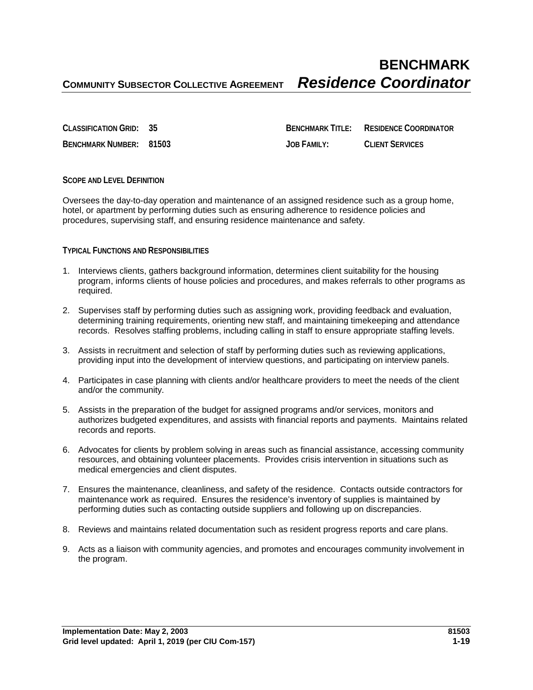# **BENCHMARK COMMUNITY SUBSECTOR COLLECTIVE AGREEMENT** *Residence Coordinator*

**CLASSIFICATION GRID: 35 BENCHMARK TITLE: RESIDENCE COORDINATOR BENCHMARK NUMBER: 81503 JOB FAMILY: CLIENT SERVICES**

## **SCOPE AND LEVEL DEFINITION**

Oversees the day-to-day operation and maintenance of an assigned residence such as a group home, hotel, or apartment by performing duties such as ensuring adherence to residence policies and procedures, supervising staff, and ensuring residence maintenance and safety.

#### **TYPICAL FUNCTIONS AND RESPONSIBILITIES**

- 1. Interviews clients, gathers background information, determines client suitability for the housing program, informs clients of house policies and procedures, and makes referrals to other programs as required.
- 2. Supervises staff by performing duties such as assigning work, providing feedback and evaluation, determining training requirements, orienting new staff, and maintaining timekeeping and attendance records. Resolves staffing problems, including calling in staff to ensure appropriate staffing levels.
- 3. Assists in recruitment and selection of staff by performing duties such as reviewing applications, providing input into the development of interview questions, and participating on interview panels.
- 4. Participates in case planning with clients and/or healthcare providers to meet the needs of the client and/or the community.
- 5. Assists in the preparation of the budget for assigned programs and/or services, monitors and authorizes budgeted expenditures, and assists with financial reports and payments. Maintains related records and reports.
- 6. Advocates for clients by problem solving in areas such as financial assistance, accessing community resources, and obtaining volunteer placements. Provides crisis intervention in situations such as medical emergencies and client disputes.
- 7. Ensures the maintenance, cleanliness, and safety of the residence. Contacts outside contractors for maintenance work as required. Ensures the residence's inventory of supplies is maintained by performing duties such as contacting outside suppliers and following up on discrepancies.
- 8. Reviews and maintains related documentation such as resident progress reports and care plans.
- 9. Acts as a liaison with community agencies, and promotes and encourages community involvement in the program.